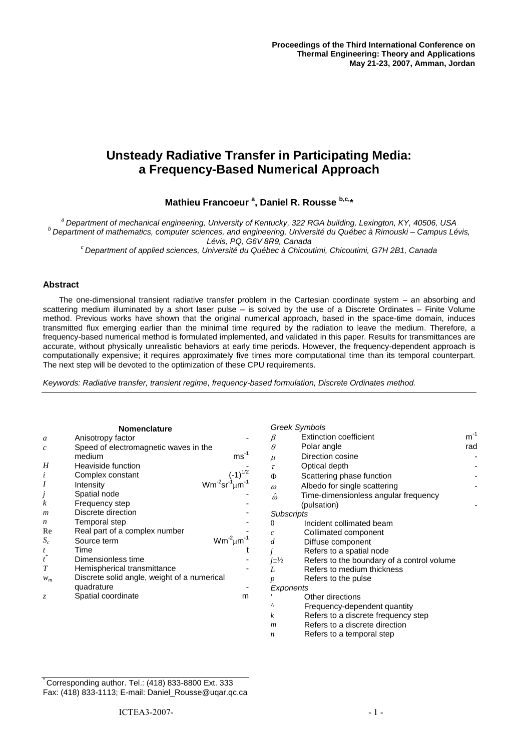# **Unsteady Radiative Transfer in Participating Media: a Frequency-Based Numerical Approach**

# **Mathieu Francoeur <sup>a</sup> , Daniel R. Rousse b,c,\***

*<sup>a</sup>Department of mechanical engineering, University of Kentucky, 322 RGA building, Lexington, KY, 40506, USA <sup>b</sup>Department of mathematics, computer sciences, and engineering, Université du Québec à Rimouski – Campus Lévis, Lévis, PQ, G6V 8R9, Canada*

*<sup>c</sup>Department of applied sciences, Université du Québec à Chicoutimi, Chicoutimi, G7H 2B1, Canada*

#### **Abstract**

The one-dimensional transient radiative transfer problem in the Cartesian coordinate system – an absorbing and scattering medium illuminated by a short laser pulse – is solved by the use of a Discrete Ordinates – Finite Volume method. Previous works have shown that the original numerical approach, based in the space-time domain, induces transmitted flux emerging earlier than the minimal time required by the radiation to leave the medium. Therefore, a frequency-based numerical method is formulated implemented, and validated in this paper. Results for transmittances are accurate, without physically unrealistic behaviors at early time periods. However, the frequency-dependent approach is computationally expensive; it requires approximately five times more computational time than its temporal counterpart. The next step will be devoted to the optimization of these CPU requirements.

*Keywords: Radiative transfer, transient regime, frequency-based formulation, Discrete Ordinates method.*

| <b>Nomenclature</b>   |                                             |                      | <b>Greek Symbols</b> |                                            |          |
|-----------------------|---------------------------------------------|----------------------|----------------------|--------------------------------------------|----------|
| a                     | Anisotropy factor                           |                      |                      | <b>Extinction coefficient</b>              | $m^{-1}$ |
| $\mathcal{C}_{0}^{2}$ | Speed of electromagnetic waves in the       |                      | $\theta$             | Polar angle                                | rad      |
|                       | medium                                      | $ms^{-1}$            | $\mu$                | Direction cosine                           |          |
| H                     | Heaviside function                          |                      | $\tau$               | Optical depth                              |          |
| i                     | Complex constant                            | $(-1)^{1/2}$         | Φ                    | Scattering phase function                  |          |
| $\boldsymbol{I}$      | Intensity                                   |                      | $\omega$             | Albedo for single scattering               |          |
|                       | Spatial node                                |                      | $\hat{\omega}$       | Time-dimensionless angular frequency       |          |
| $\boldsymbol{k}$      | Frequency step                              |                      |                      | (pulsation)                                |          |
| m                     | Discrete direction                          |                      | <b>Subscripts</b>    |                                            |          |
| $\boldsymbol{n}$      | Temporal step                               |                      | 0                    | Incident collimated beam                   |          |
| Re                    | Real part of a complex number               |                      | c                    | Collimated component                       |          |
| $S_c$                 | Source term                                 | $Wm^{-2} \mu m^{-1}$ |                      | Diffuse component                          |          |
|                       | Time                                        |                      |                      | Refers to a spatial node                   |          |
| $\boldsymbol{t}^*$    | Dimensionless time                          |                      | $j\pm\frac{1}{2}$    | Refers to the boundary of a control volume |          |
| T                     | Hemispherical transmittance                 |                      | L                    | Refers to medium thickness                 |          |
| $W_m$                 | Discrete solid angle, weight of a numerical |                      |                      | Refers to the pulse                        |          |
|                       | quadrature                                  |                      | Exponents            |                                            |          |
| Z.                    | Spatial coordinate                          | m                    |                      | Other directions                           |          |
|                       |                                             |                      | Λ                    | Frequency-dependent quantity               |          |
|                       |                                             |                      | k                    | Refers to a discrete frequency step        |          |

*m* Refers to a discrete direction

*n* Refers to a temporal step

\* Corresponding author. Tel.: (418) 833-8800 Ext. 333 Fax: (418) 833-1113; E-mail: Daniel\_Rousse@uqar.qc.ca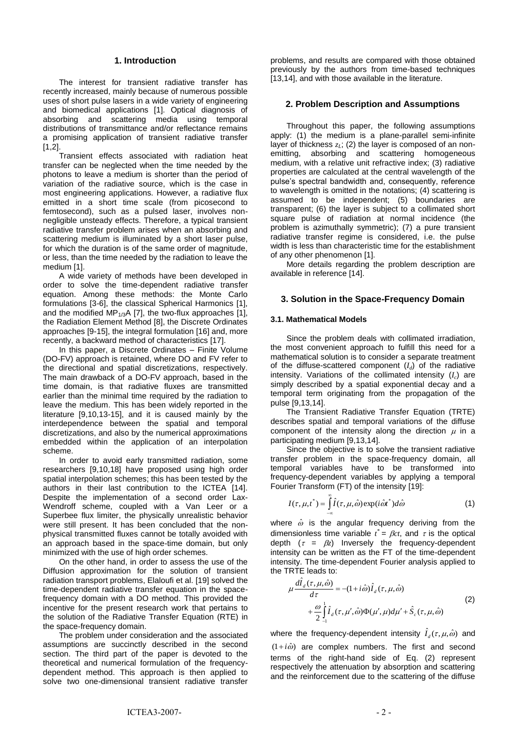#### **1. Introduction**

The interest for transient radiative transfer has recently increased, mainly because of numerous possible uses of short pulse lasers in a wide variety of engineering and biomedical applications [1]. Optical diagnosis of absorbing and scattering media using temporal distributions of transmittance and/or reflectance remains a promising application of transient radiative transfer [1,2].

Transient effects associated with radiation heat transfer can be neglected when the time needed by the photons to leave a medium is shorter than the period of variation of the radiative source, which is the case in most engineering applications. However, a radiative flux emitted in a short time scale (from picosecond to femtosecond), such as a pulsed laser, involves nonnegligible unsteady effects. Therefore, a typical transient radiative transfer problem arises when an absorbing and scattering medium is illuminated by a short laser pulse, for which the duration is of the same order of magnitude, or less, than the time needed by the radiation to leave the medium [1].

A wide variety of methods have been developed in order to solve the time-dependent radiative transfer equation. Among these methods: the Monte Carlo formulations [3-6], the classical Spherical Harmonics [1], and the modified MP $_{1/3}$ A [7], the two-flux approaches [1], the Radiation Element Method [8], the Discrete Ordinates approaches [9-15], the integral formulation [16] and, more recently, a backward method of characteristics [17].

In this paper, a Discrete Ordinates – Finite Volume (DO-FV) approach is retained, where DO and FV refer to the directional and spatial discretizations, respectively. The main drawback of a DO-FV approach, based in the time domain, is that radiative fluxes are transmitted earlier than the minimal time required by the radiation to leave the medium. This has been widely reported in the literature [9,10,13-15], and it is caused mainly by the interdependence between the spatial and temporal discretizations, and also by the numerical approximations embedded within the application of an interpolation scheme.

In order to avoid early transmitted radiation, some researchers [9,10,18] have proposed using high order spatial interpolation schemes; this has been tested by the authors in their last contribution to the ICTEA [14]. Despite the implementation of a second order Lax-Wendroff scheme, coupled with a Van Leer or a Superbee flux limiter, the physically unrealistic behavior were still present. It has been concluded that the nonphysical transmitted fluxes cannot be totally avoided with an approach based in the space-time domain, but only minimized with the use of high order schemes.

On the other hand, in order to assess the use of the Diffusion approximation for the solution of transient radiation transport problems, Elaloufi et al. [19] solved the time-dependent radiative transfer equation in the spacefrequency domain with a DO method. This provided the incentive for the present research work that pertains to the solution of the Radiative Transfer Equation (RTE) in the space-frequency domain.

The problem under consideration and the associated assumptions are succinctly described in the second section. The third part of the paper is devoted to the theoretical and numerical formulation of the frequencydependent method. This approach is then applied to solve two one-dimensional transient radiative transfer

problems, and results are compared with those obtained previously by the authors from time-based techniques [13,14], and with those available in the literature.

### **2. Problem Description and Assumptions**

Throughout this paper, the following assumptions apply: (1) the medium is a plane-parallel semi-infinite layer of thickness  $z<sub>L</sub>$ ; (2) the layer is composed of an nonemitting, absorbing and scattering homogeneous medium, with a relative unit refractive index; (3) radiative properties are calculated at the central wavelength of the pulse's spectral bandwidth and, consequently, reference to wavelength is omitted in the notations; (4) scattering is assumed to be independent; (5) boundaries are transparent; (6) the layer is subject to a collimated short square pulse of radiation at normal incidence (the problem is azimuthally symmetric); (7) a pure transient radiative transfer regime is considered, i.e. the pulse width is less than characteristic time for the establishment of any other phenomenon [1].

More details regarding the problem description are available in reference [14].

#### **3. Solution in the Space-Frequency Domain**

#### **3.1. Mathematical Models**

Since the problem deals with collimated irradiation, the most convenient approach to fulfill this need for a mathematical solution is to consider a separate treatment of the diffuse-scattered component (*I<sup>d</sup>* ) of the radiative intensity. Variations of the collimated intensity (*I<sup>c</sup>* ) are simply described by a spatial exponential decay and a temporal term originating from the propagation of the pulse [9,13,14].

The Transient Radiative Transfer Equation (TRTE) describes spatial and temporal variations of the diffuse component of the intensity along the direction  $\mu$  in a participating medium [9,13,14].

Since the objective is to solve the transient radiative transfer problem in the space-frequency domain, all temporal variables have to be transformed into frequency-dependent variables by applying a temporal Fourier Transform (FT) of the intensity [19]:

$$
I(\tau, \mu, t^*) = \int_{-\infty}^{\infty} \hat{I}(\tau, \mu, \hat{\omega}) \exp(i\hat{\omega} t^*) d\hat{\omega}
$$
 (1)

where  $\hat{\omega}$  is the angular frequency deriving from the dimensionless time variable  $t^* = \beta ct$ , and  $\tau$  is the optical depth  $(\tau = \beta z)$  Inversely the frequency-dependent intensity can be written as the FT of the time-dependent intensity. The time-dependent Fourier analysis applied to the TRTE leads to:

$$
\mu \frac{d\hat{I}_d(\tau, \mu, \hat{\omega})}{d\tau} = -(1 + i\hat{\omega}) \hat{I}_d(\tau, \mu, \hat{\omega}) \n+ \frac{\omega}{2} \int_{-1}^{1} \hat{I}_d(\tau, \mu', \hat{\omega}) \Phi(\mu', \mu) d\mu' + \hat{S}_e(\tau, \mu, \hat{\omega})
$$
\n(2)

where the frequency-dependent intensity  $\hat{I}_d(\tau,\mu,\hat{\omega})$  and  $(1+i\hat{\omega})$  are complex numbers. The first and second terms of the right-hand side of Eq. (2) represent respectively the attenuation by absorption and scattering and the reinforcement due to the scattering of the diffuse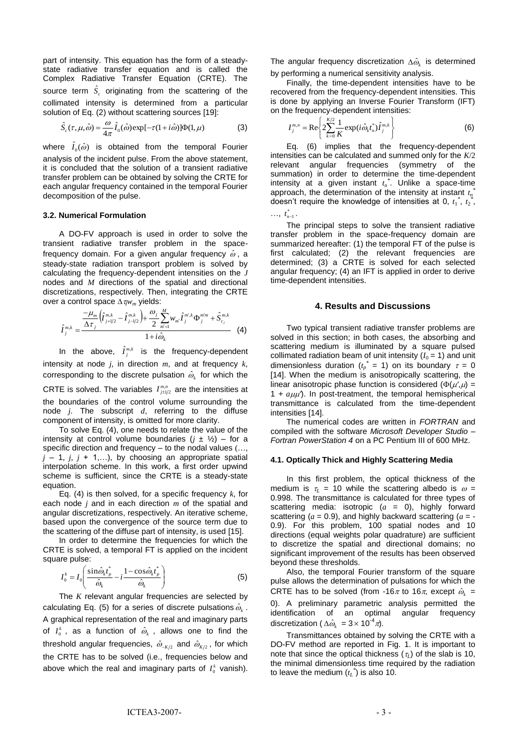part of intensity. This equation has the form of a steadystate radiative transfer equation and is called the Complex Radiative Transfer Equation (CRTE). The source term  $\hat{S}_c$  originating from the scattering of the collimated intensity is determined from a particular solution of Eq. (2) without scattering sources [19]:

$$
\hat{S}_c(\tau,\mu,\hat{\omega}) = \frac{\omega}{4\pi} \hat{I}_0(\hat{\omega}) \exp[-\tau(1+i\hat{\omega})] \Phi(1,\mu)
$$
(3)

where  $\hat{I}_0(\hat{\omega})$  is obtained from the temporal Fourier analysis of the incident pulse. From the above statement, it is concluded that the solution of a transient radiative transfer problem can be obtained by solving the CRTE for each angular frequency contained in the temporal Fourier decomposition of the pulse.

#### **3.2. Numerical Formulation**

A DO-FV approach is used in order to solve the transient radiative transfer problem in the spacefrequency domain. For a given angular frequency  $\hat{\omega}$ , a steady-state radiation transport problem is solved by calculating the frequency-dependent intensities on the *J* nodes and *M* directions of the spatial and directional discretizations, respectively. Then, integrating the CRTE over a control space  $\Delta \tau_{\text{i}}/w_m$  yields:

$$
\hat{I}_{j}^{m,k} = \frac{\frac{-\mu_{m}}{\Delta \tau_{j}} \left(\hat{I}_{j+l/2}^{m,k} - \hat{I}_{j-l/2}^{m,k}\right) + \frac{\omega_{j}}{2} \sum_{m'=1}^{M} w_{m'} \hat{I}_{j}^{m',k} \Phi_{j}^{m'm} + \hat{S}_{c_{j}}^{m,k}}{1 + i \hat{\omega}_{k}}
$$
(4)

In the above,  $\hat{I}^{m,k}_j$  is the frequency-dependent intensity at node *j*, in direction *m*, and at frequency *k*, corresponding to the discrete pulsation  $\hat{\omega}_k$  for which the CRTE is solved. The variables  $I^{m,n}_{j \pm 1/2}$  are the intensities at the boundaries of the control volume surrounding the node *j*. The subscript *d*, referring to the diffuse component of intensity, is omitted for more clarity.

To solve Eq. (4), one needs to relate the value of the intensity at control volume boundaries  $(j \pm \frac{1}{2})$  – for a specific direction and frequency – to the nodal values (…,  $j - 1$ ,  $j$ ,  $j + 1$ ,...), by choosing an appropriate spatial interpolation scheme. In this work, a first order upwind scheme is sufficient, since the CRTE is a steady-state equation.

Eq. (4) is then solved, for a specific frequency *k*, for each node *j* and in each direction *m* of the spatial and angular discretizations, respectively. An iterative scheme, based upon the convergence of the source term due to the scattering of the diffuse part of intensity, is used [15].

In order to determine the frequencies for which the CRTE is solved, a temporal FT is applied on the incident square pulse:

$$
I_0^k = I_0 \left( \frac{\sin \hat{\omega}_k t_p^*}{\hat{\omega}_k} - i \frac{1 - \cos \hat{\omega}_k t_p^*}{\hat{\omega}_k} \right) \tag{5}
$$

The *K* relevant angular frequencies are selected by calculating Eq. (5) for a series of discrete pulsations  $\hat{\omega}_k$  . A graphical representation of the real and imaginary parts of  $I_0^k$ , as a function of  $\hat{\omega}_k$ , allows one to find the threshold angular frequencies,  $\hat{\omega}_{\text{\tiny-K}/2}$  and  $\hat{\omega}_{\text{\tiny K}/2}$ , for which the CRTE has to be solved (i.e., frequencies below and above which the real and imaginary parts of  $I_0^k$  vanish). The angular frequency discretization  $\Delta \hat{\omega}_k$  is determined by performing a numerical sensitivity analysis.

Finally, the time-dependent intensities have to be recovered from the frequency-dependent intensities. This is done by applying an Inverse Fourier Transform (IFT) on the frequency-dependent intensities:

$$
I_j^{m,n} = \text{Re}\left\{2\sum_{k=0}^{K/2} \frac{1}{K} \exp(i\hat{\omega}_k t_n^*) \hat{I}_j^{m,k}\right\}
$$
 (6)

Eq. (6) implies that the frequency-dependent intensities can be calculated and summed only for the *K*/2 relevant angular frequencies (symmetry of the summation) in order to determine the time-dependent intensity at a given instant *t<sup>n</sup> \** . Unlike a space-time approach, the determination of the intensity at instant *t<sup>n</sup> \** doesn't require the knowledge of intensities at 0,  $t_1^*$ ,  $t_2^*$ ,

 $\ldots, t_{n-1}^*$ .

The principal steps to solve the transient radiative transfer problem in the space-frequency domain are summarized hereafter: (1) the temporal FT of the pulse is first calculated; (2) the relevant frequencies are determined; (3) a CRTE is solved for each selected angular frequency; (4) an IFT is applied in order to derive time-dependent intensities.

#### **4. Results and Discussions**

Two typical transient radiative transfer problems are solved in this section; in both cases, the absorbing and scattering medium is illuminated by a square pulsed collimated radiation beam of unit intensity  $(I_0 = 1)$  and unit dimensionless duration ( $t_p^* = 1$ ) on its boundary  $\tau = 0$ [14]. When the medium is anisotropically scattering, the linear anisotropic phase function is considered ( $\Phi(\mu', \mu)$  = 1 +  $a\mu\mu'$ ). In post-treatment, the temporal hemispherical transmittance is calculated from the time-dependent intensities [14].

The numerical codes are written in *FORTRAN* and compiled with the software *Microsoft Developer Studio – Fortran PowerStation 4* on a PC Pentium III of 600 MHz.

#### **4.1. Optically Thick and Highly Scattering Media**

In this first problem, the optical thickness of the medium is  $\tau_L$  = 10 while the scattering albedo is  $\omega$  = 0.998. The transmittance is calculated for three types of scattering media: isotropic (*a* = 0), highly forward scattering (*a* = 0.9), and highly backward scattering (*a* = - 0.9). For this problem, 100 spatial nodes and 10 directions (equal weights polar quadrature) are sufficient to discretize the spatial and directional domains; no significant improvement of the results has been observed beyond these thresholds.

Also, the temporal Fourier transform of the square pulse allows the determination of pulsations for which the CRTE has to be solved (from -16 $\pi$  to 16 $\pi$ , except  $\hat{\omega}_k$  = 0). A preliminary parametric analysis permitted the identification of an optimal angular frequency discretization ( $\Delta \hat{\omega}_k = 3 \times 10^{-4} \pi$ ).

Transmittances obtained by solving the CRTE with a DO-FV method are reported in Fig. 1. It is important to note that since the optical thickness  $(\tau_L)$  of the slab is 10, the minimal dimensionless time required by the radiation to leave the medium  $(t_L^*)$  is also 10.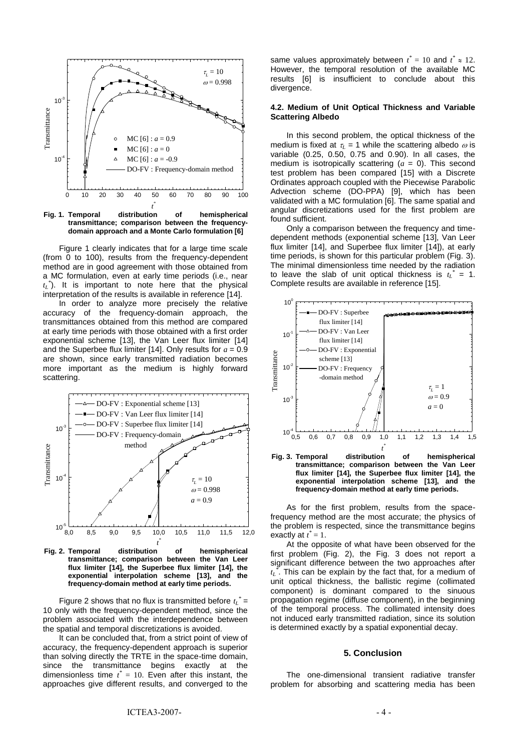

**Fig. 1. Temporal distribution of hemispherical transmittance; comparison between the frequencydomain approach and a Monte Carlo formulation [6]**

Figure 1 clearly indicates that for a large time scale (from 0 to 100), results from the frequency-dependent method are in good agreement with those obtained from a MC formulation, even at early time periods (i.e., near *tL \** ). It is important to note here that the physical interpretation of the results is available in reference [14].

In order to analyze more precisely the relative accuracy of the frequency-domain approach, the transmittances obtained from this method are compared at early time periods with those obtained with a first order exponential scheme [13], the Van Leer flux limiter [14] and the Superbee flux limiter [14]. Only results for  $a = 0.9$ are shown, since early transmitted radiation becomes more important as the medium is highly forward scattering.



**Fig. 2. Temporal distribution of hemispherical transmittance; comparison between the Van Leer flux limiter [14], the Superbee flux limiter [14], the exponential interpolation scheme [13], and the frequency-domain method at early time periods.**

Figure 2 shows that no flux is transmitted before  $t_L^*$  = 10 only with the frequency-dependent method, since the problem associated with the interdependence between the spatial and temporal discretizations is avoided.

It can be concluded that, from a strict point of view of accuracy, the frequency-dependent approach is superior than solving directly the TRTE in the space-time domain, since the transmittance begins exactly at the dimensionless time  $t^* = 10$ . Even after this instant, the approaches give different results, and converged to the

same values approximately between  $t^* = 10$  and  $t^* \approx 12$ . However, the temporal resolution of the available MC results [6] is insufficient to conclude about this divergence.

#### **4.2. Medium of Unit Optical Thickness and Variable Scattering Albedo**

In this second problem, the optical thickness of the medium is fixed at  $\tau$  = 1 while the scattering albedo  $\omega$  is variable (0.25, 0.50, 0.75 and 0.90). In all cases, the medium is isotropically scattering  $(a = 0)$ . This second test problem has been compared [15] with a Discrete Ordinates approach coupled with the Piecewise Parabolic Advection scheme (DO-PPA) [9], which has been validated with a MC formulation [6]. The same spatial and angular discretizations used for the first problem are found sufficient.

Only a comparison between the frequency and timedependent methods (exponential scheme [13], Van Leer flux limiter [14], and Superbee flux limiter [14]), at early time periods, is shown for this particular problem (Fig. 3). The minimal dimensionless time needed by the radiation to leave the slab of unit optical thickness is  $t_L^* = 1$ . Complete results are available in reference [15].





As for the first problem, results from the spacefrequency method are the most accurate; the physics of the problem is respected, since the transmittance begins exactly at  $t^* = 1$ .

At the opposite of what have been observed for the first problem (Fig. 2), the Fig. 3 does not report a significant difference between the two approaches after *tL \** . This can be explain by the fact that, for a medium of unit optical thickness, the ballistic regime (collimated component) is dominant compared to the sinuous propagation regime (diffuse component), in the beginning of the temporal process. The collimated intensity does not induced early transmitted radiation, since its solution is determined exactly by a spatial exponential decay.

#### **5. Conclusion**

The one-dimensional transient radiative transfer problem for absorbing and scattering media has been